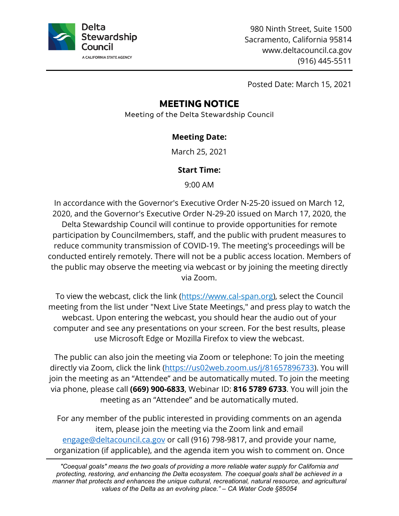

980 Ninth Street, Suite 1500 Sacramento, California 95814 <www.deltacouncil.ca.gov> (916) 445-5511

Posted Date: March 15, 2021

# **MEETING NOTICE**

Meeting of the Delta Stewardship Council

### **Meeting Date:**

March 25, 2021

### **Start Time:**

9:00 AM

 Delta Stewardship Council will continue to provide opportunities for remote the public may observe the meeting via webcast or by joining the meeting directly In accordance with the Governor's Executive Order N-25-20 issued on March 12, 2020, and the Governor's Executive Order N-29-20 issued on March 17, 2020, the participation by Councilmembers, staff, and the public with prudent measures to reduce community transmission of COVID-19. The meeting's proceedings will be conducted entirely remotely. There will not be a public access location. Members of via Zoom.

 webcast. Upon entering the webcast, you should hear the audio out of your To view the webcast, click the link (<https://www.cal-span.org>), select the Council meeting from the list under "Next Live State Meetings," and press play to watch the computer and see any presentations on your screen. For the best results, please use Microsoft Edge or Mozilla Firefox to view the webcast.

The public can also join the meeting via Zoom or telephone: To join the meeting directly via Zoom, click the link [\(https://us02web.zoom.us/j/81657896733](https://us02web.zoom.us/j/81657896733)). You will join the meeting as an "Attendee" and be automatically muted. To join the meeting via phone, please call **(669) 900-6833**, Webinar ID: **816 5789 6733**. You will join the meeting as an "Attendee" and be automatically muted.

For any member of the public interested in providing comments on an agenda item, please join the meeting via the Zoom link and email [engage@deltacouncil.ca.gov](mailto:engage@deltacouncil.ca.gov) or call (916) 798-9817, and provide your name, organization (if applicable), and the agenda item you wish to comment on. Once

*"Coequal goals" means the two goals of providing a more reliable water supply for California and protecting, restoring, and enhancing the Delta ecosystem. The coequal goals shall be achieved in a manner that protects and enhances the unique cultural, recreational, natural resource, and agricultural values of the Delta as an evolving place." – CA Water Code §85054*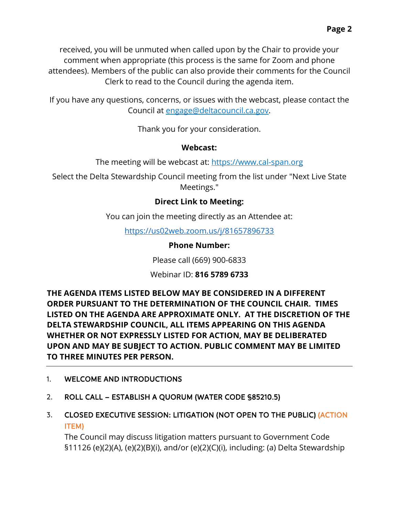received, you will be unmuted when called upon by the Chair to provide your comment when appropriate (this process is the same for Zoom and phone attendees). Members of the public can also provide their comments for the Council Clerk to read to the Council during the agenda item.

If you have any questions, concerns, or issues with the webcast, please contact the Council at [engage@deltacouncil.ca.gov](mailto:engage@deltacouncil.ca.gov).

Thank you for your consideration.

#### **Webcast:**

The meeting will be webcast at: <https://www.cal-span.org>

Select the Delta Stewardship Council meeting from the list under "Next Live State Meetings."

### **Direct Link to Meeting:**

You can join the meeting directly as an Attendee at:

<https://us02web.zoom.us/j/81657896733>

#### **Phone Number:**

Please call (669) 900-6833

#### Webinar ID: **816 5789 6733**

**THE AGENDA ITEMS LISTED BELOW MAY BE CONSIDERED IN A DIFFERENT ORDER PURSUANT TO THE DETERMINATION OF THE COUNCIL CHAIR. TIMES LISTED ON THE AGENDA ARE APPROXIMATE ONLY. AT THE DISCRETION OF THE DELTA STEWARDSHIP COUNCIL, ALL ITEMS APPEARING ON THIS AGENDA WHETHER OR NOT EXPRESSLY LISTED FOR ACTION, MAY BE DELIBERATED UPON AND MAY BE SUBJECT TO ACTION. PUBLIC COMMENT MAY BE LIMITED TO THREE MINUTES PER PERSON.** 

- 1. WELCOME AND INTRODUCTIONS
- 2. ROLL CALL ESTABLISH A QUORUM (WATER CODE §85210.5)
- 3. CLOSED EXECUTIVE SESSION: LITIGATION (NOT OPEN TO THE PUBLIC) (ACTION ITEM)

The Council may discuss litigation matters pursuant to Government Code §11126 (e)(2)(A), (e)(2)(B)(i), and/or (e)(2)(C)(i), including: (a) Delta Stewardship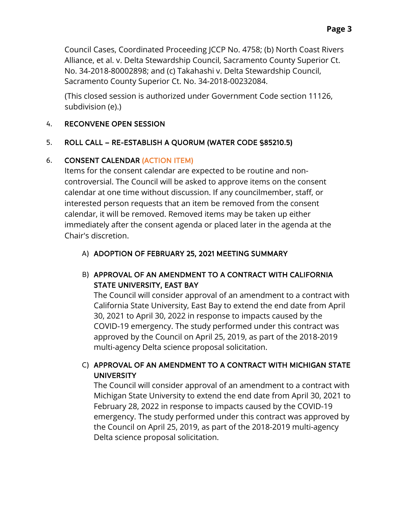Council Cases, Coordinated Proceeding JCCP No. 4758; (b) North Coast Rivers Alliance, et al. v. Delta Stewardship Council, Sacramento County Superior Ct. No. 34-2018-80002898; and (c) Takahashi v. Delta Stewardship Council, Sacramento County Superior Ct. No. 34-2018-00232084.

(This closed session is authorized under Government Code section 11126, subdivision (e).)

#### 4. RECONVENE OPEN SESSION

#### 5. ROLL CALL – RE-ESTABLISH A QUORUM (WATER CODE §85210.5)

### 6. CONSENT CALENDAR (ACTION ITEM)

 Items for the consent calendar are expected to be routine and non- interested person requests that an item be removed from the consent controversial. The Council will be asked to approve items on the consent calendar at one time without discussion. If any councilmember, staff, or calendar, it will be removed. Removed items may be taken up either immediately after the consent agenda or placed later in the agenda at the Chair's discretion.

### A) ADOPTION OF FEBRUARY 25, 2021 MEETING SUMMARY

## B) APPROVAL OF AN AMENDMENT TO A CONTRACT WITH CALIFORNIA STATE UNIVERSITY, EAST BAY

 30, 2021 to April 30, 2022 in response to impacts caused by the The Council will consider approval of an amendment to a contract with California State University, East Bay to extend the end date from April COVID-19 emergency. The study performed under this contract was approved by the Council on April 25, 2019, as part of the 2018-2019 multi-agency Delta science proposal solicitation.

## C) APPROVAL OF AN AMENDMENT TO A CONTRACT WITH MICHIGAN STATE **UNIVERSITY**

The Council will consider approval of an amendment to a contract with Michigan State University to extend the end date from April 30, 2021 to February 28, 2022 in response to impacts caused by the COVID-19 emergency. The study performed under this contract was approved by the Council on April 25, 2019, as part of the 2018-2019 multi-agency Delta science proposal solicitation.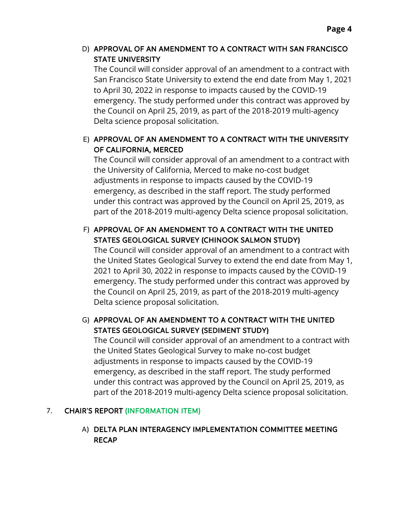## D) APPROVAL OF AN AMENDMENT TO A CONTRACT WITH SAN FRANCISCO STATE UNIVERSITY

The Council will consider approval of an amendment to a contract with San Francisco State University to extend the end date from May 1, 2021 to April 30, 2022 in response to impacts caused by the COVID-19 emergency. The study performed under this contract was approved by the Council on April 25, 2019, as part of the 2018-2019 multi-agency Delta science proposal solicitation.

## E) APPROVAL OF AN AMENDMENT TO A CONTRACT WITH THE UNIVERSITY OF CALIFORNIA, MERCED

The Council will consider approval of an amendment to a contract with the University of California, Merced to make no-cost budget adjustments in response to impacts caused by the COVID-19 emergency, as described in the staff report. The study performed under this contract was approved by the Council on April 25, 2019, as part of the 2018-2019 multi-agency Delta science proposal solicitation.

## F) APPROVAL OF AN AMENDMENT TO A CONTRACT WITH THE UNITED STATES GEOLOGICAL SURVEY (CHINOOK SALMON STUDY)

The Council will consider approval of an amendment to a contract with the United States Geological Survey to extend the end date from May 1, 2021 to April 30, 2022 in response to impacts caused by the COVID-19 emergency. The study performed under this contract was approved by the Council on April 25, 2019, as part of the 2018-2019 multi-agency Delta science proposal solicitation.

## G) APPROVAL OF AN AMENDMENT TO A CONTRACT WITH THE UNITED STATES GEOLOGICAL SURVEY (SEDIMENT STUDY)

 the United States Geological Survey to make no-cost budget The Council will consider approval of an amendment to a contract with adjustments in response to impacts caused by the COVID-19 emergency, as described in the staff report. The study performed under this contract was approved by the Council on April 25, 2019, as part of the 2018-2019 multi-agency Delta science proposal solicitation.

### 7. CHAIR'S REPORT (INFORMATION ITEM)

A) DELTA PLAN INTERAGENCY IMPLEMENTATION COMMITTEE MEETING RECAP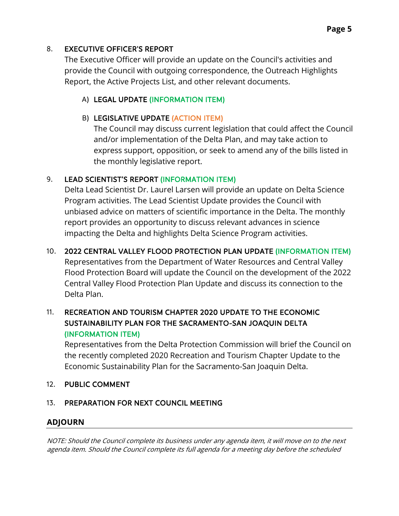### 8. EXECUTIVE OFFICER'S REPORT

 provide the Council with outgoing correspondence, the Outreach Highlights The Executive Officer will provide an update on the Council's activities and Report, the Active Projects List, and other relevant documents.

### A) LEGAL UPDATE (INFORMATION ITEM)

### B) LEGISLATIVE UPDATE (ACTION ITEM)

 and/or implementation of the Delta Plan, and may take action to The Council may discuss current legislation that could affect the Council express support, opposition, or seek to amend any of the bills listed in the monthly legislative report.

### 9. LEAD SCIENTIST'S REPORT (INFORMATION ITEM)

Delta Lead Scientist Dr. Laurel Larsen will provide an update on Delta Science Program activities. The Lead Scientist Update provides the Council with unbiased advice on matters of scientific importance in the Delta. The monthly report provides an opportunity to discuss relevant advances in science impacting the Delta and highlights Delta Science Program activities.

### 10. 2022 CENTRAL VALLEY FLOOD PROTECTION PLAN UPDATE (INFORMATION ITEM)

 Central Valley Flood Protection Plan Update and discuss its connection to the Representatives from the Department of Water Resources and Central Valley Flood Protection Board will update the Council on the development of the 2022 Delta Plan.

## 11. RECREATION AND TOURISM CHAPTER 2020 UPDATE TO THE ECONOMIC SUSTAINABILITY PLAN FOR THE SACRAMENTO-SAN JOAQUIN DELTA (INFORMATION ITEM)

 the recently completed 2020 Recreation and Tourism Chapter Update to the Representatives from the Delta Protection Commission will brief the Council on Economic Sustainability Plan for the Sacramento-San Joaquin Delta.

#### 12. PUBLIC COMMENT

#### 13. PREPARATION FOR NEXT COUNCIL MEETING

### **ADJOURN**

NOTE: Should the Council complete its business under any agenda item, it will move on to the next agenda item. Should the Council complete its full agenda for a meeting day before the scheduled